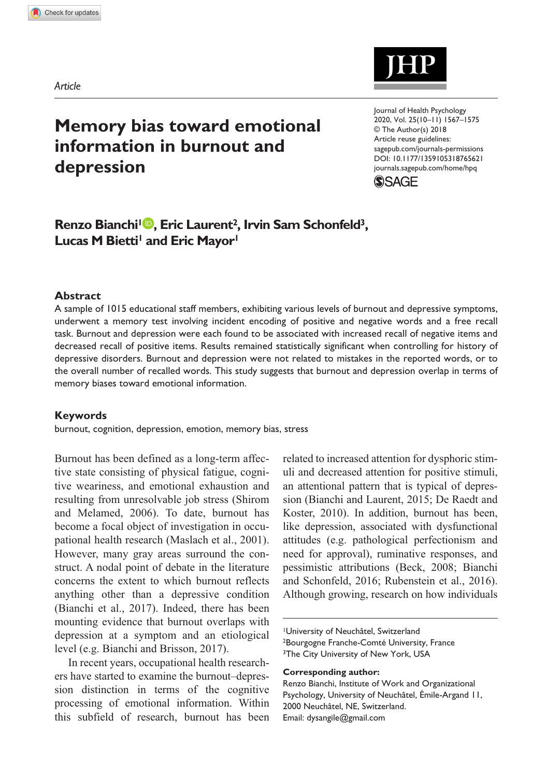*Article*

# **Memory bias toward emotional information in burnout and depression**

https://doi.org/10.1177/1359105318765621 DOI: 10.1177/1359105318765621 Journal of Health Psychology 2020, Vol. 25(10–11) 1567–1575 © The Author(s) 2018 Article reuse guidelines: [sagepub.com/journals-permissions](https://uk.sagepub.com/en-gb/journals-permissions) [journals.sagepub.com/home/hpq](https://journals.sagepub.com/home/hpq)



# **Renzo Bianchi1 , Eric Laurent2, Irvin Sam Schonfeld3, Lucas M Bietti<sup>1</sup> and Eric Mayor<sup>1</sup>**

#### **Abstract**

A sample of 1015 educational staff members, exhibiting various levels of burnout and depressive symptoms, underwent a memory test involving incident encoding of positive and negative words and a free recall task. Burnout and depression were each found to be associated with increased recall of negative items and decreased recall of positive items. Results remained statistically significant when controlling for history of depressive disorders. Burnout and depression were not related to mistakes in the reported words, or to the overall number of recalled words. This study suggests that burnout and depression overlap in terms of memory biases toward emotional information.

#### **Keywords**

burnout, cognition, depression, emotion, memory bias, stress

Burnout has been defined as a long-term affective state consisting of physical fatigue, cognitive weariness, and emotional exhaustion and resulting from unresolvable job stress (Shirom and Melamed, 2006). To date, burnout has become a focal object of investigation in occupational health research (Maslach et al., 2001). However, many gray areas surround the construct. A nodal point of debate in the literature concerns the extent to which burnout reflects anything other than a depressive condition (Bianchi et al., 2017). Indeed, there has been mounting evidence that burnout overlaps with depression at a symptom and an etiological level (e.g. Bianchi and Brisson, 2017).

In recent years, occupational health researchers have started to examine the burnout–depression distinction in terms of the cognitive processing of emotional information. Within this subfield of research, burnout has been related to increased attention for dysphoric stimuli and decreased attention for positive stimuli, an attentional pattern that is typical of depression (Bianchi and Laurent, 2015; De Raedt and Koster, 2010). In addition, burnout has been, like depression, associated with dysfunctional attitudes (e.g. pathological perfectionism and need for approval), ruminative responses, and pessimistic attributions (Beck, 2008; Bianchi and Schonfeld, 2016; Rubenstein et al., 2016). Although growing, research on how individuals

#### **Corresponding author:**

Renzo Bianchi, Institute of Work and Organizational Psychology, University of Neuchâtel, Émile-Argand 11, 2000 Neuchâtel, NE, Switzerland. Email: dysangile@gmail.com



<sup>1</sup>University of Neuchâtel, Switzerland 2Bourgogne Franche-Comté University, France <sup>3</sup>The City University of New York, USA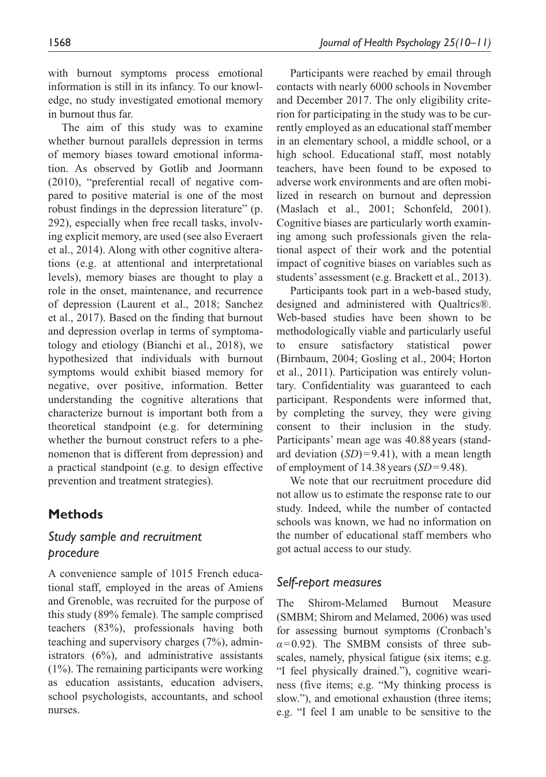with burnout symptoms process emotional information is still in its infancy. To our knowledge, no study investigated emotional memory in burnout thus far.

The aim of this study was to examine whether burnout parallels depression in terms of memory biases toward emotional information. As observed by Gotlib and Joormann (2010), "preferential recall of negative compared to positive material is one of the most robust findings in the depression literature" (p. 292), especially when free recall tasks, involving explicit memory, are used (see also Everaert et al., 2014). Along with other cognitive alterations (e.g. at attentional and interpretational levels), memory biases are thought to play a role in the onset, maintenance, and recurrence of depression (Laurent et al., 2018; Sanchez et al., 2017). Based on the finding that burnout and depression overlap in terms of symptomatology and etiology (Bianchi et al., 2018), we hypothesized that individuals with burnout symptoms would exhibit biased memory for negative, over positive, information. Better understanding the cognitive alterations that characterize burnout is important both from a theoretical standpoint (e.g. for determining whether the burnout construct refers to a phenomenon that is different from depression) and a practical standpoint (e.g. to design effective prevention and treatment strategies).

# **Methods**

# *Study sample and recruitment procedure*

A convenience sample of 1015 French educational staff, employed in the areas of Amiens and Grenoble, was recruited for the purpose of this study (89% female). The sample comprised teachers (83%), professionals having both teaching and supervisory charges (7%), administrators (6%), and administrative assistants  $(1\%)$ . The remaining participants were working as education assistants, education advisers, school psychologists, accountants, and school nurses.

Participants were reached by email through contacts with nearly 6000 schools in November and December 2017. The only eligibility criterion for participating in the study was to be currently employed as an educational staff member in an elementary school, a middle school, or a high school. Educational staff, most notably teachers, have been found to be exposed to adverse work environments and are often mobilized in research on burnout and depression (Maslach et al., 2001; Schonfeld, 2001). Cognitive biases are particularly worth examining among such professionals given the relational aspect of their work and the potential impact of cognitive biases on variables such as students' assessment (e.g. Brackett et al., 2013).

Participants took part in a web-based study, designed and administered with Qualtrics®. Web-based studies have been shown to be methodologically viable and particularly useful to ensure satisfactory statistical power (Birnbaum, 2004; Gosling et al., 2004; Horton et al., 2011). Participation was entirely voluntary. Confidentiality was guaranteed to each participant. Respondents were informed that, by completing the survey, they were giving consent to their inclusion in the study. Participants' mean age was 40.88 years (standard deviation (*SD*)=9.41), with a mean length of employment of 14.38 years (*SD*=9.48).

We note that our recruitment procedure did not allow us to estimate the response rate to our study. Indeed, while the number of contacted schools was known, we had no information on the number of educational staff members who got actual access to our study.

### *Self-report measures*

The Shirom-Melamed Burnout Measure (SMBM; Shirom and Melamed, 2006) was used for assessing burnout symptoms (Cronbach's  $\alpha$ =0.92). The SMBM consists of three subscales, namely, physical fatigue (six items; e.g. "I feel physically drained."), cognitive weariness (five items; e.g. "My thinking process is slow."), and emotional exhaustion (three items; e.g. "I feel I am unable to be sensitive to the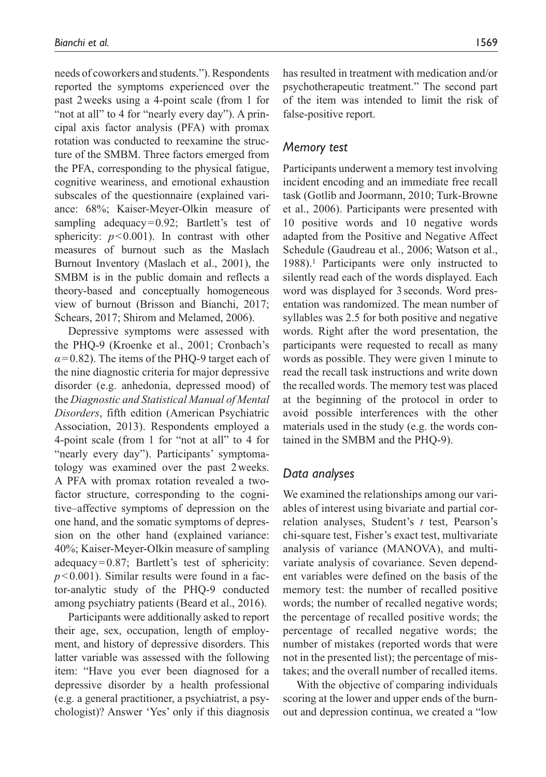needs of coworkers and students."). Respondents reported the symptoms experienced over the past 2weeks using a 4-point scale (from 1 for "not at all" to 4 for "nearly every day"). A principal axis factor analysis (PFA) with promax rotation was conducted to reexamine the structure of the SMBM. Three factors emerged from the PFA, corresponding to the physical fatigue, cognitive weariness, and emotional exhaustion subscales of the questionnaire (explained variance: 68%; Kaiser-Meyer-Olkin measure of sampling adequacy=0.92; Bartlett's test of sphericity:  $p < 0.001$ ). In contrast with other measures of burnout such as the Maslach Burnout Inventory (Maslach et al., 2001), the SMBM is in the public domain and reflects a theory-based and conceptually homogeneous view of burnout (Brisson and Bianchi, 2017; Schears, 2017; Shirom and Melamed, 2006).

Depressive symptoms were assessed with the PHQ-9 (Kroenke et al., 2001; Cronbach's  $\alpha$ =0.82). The items of the PHQ-9 target each of the nine diagnostic criteria for major depressive disorder (e.g. anhedonia, depressed mood) of the *Diagnostic and Statistical Manual of Mental Disorders*, fifth edition (American Psychiatric Association, 2013). Respondents employed a 4-point scale (from 1 for "not at all" to 4 for "nearly every day"). Participants' symptomatology was examined over the past 2weeks. A PFA with promax rotation revealed a twofactor structure, corresponding to the cognitive–affective symptoms of depression on the one hand, and the somatic symptoms of depression on the other hand (explained variance: 40%; Kaiser-Meyer-Olkin measure of sampling adequacy=0.87; Bartlett's test of sphericity:  $p<0.001$ ). Similar results were found in a factor-analytic study of the PHQ-9 conducted among psychiatry patients (Beard et al., 2016).

Participants were additionally asked to report their age, sex, occupation, length of employment, and history of depressive disorders. This latter variable was assessed with the following item: "Have you ever been diagnosed for a depressive disorder by a health professional (e.g. a general practitioner, a psychiatrist, a psychologist)? Answer 'Yes' only if this diagnosis

has resulted in treatment with medication and/or psychotherapeutic treatment." The second part of the item was intended to limit the risk of false-positive report.

#### *Memory test*

Participants underwent a memory test involving incident encoding and an immediate free recall task (Gotlib and Joormann, 2010; Turk-Browne et al., 2006). Participants were presented with 10 positive words and 10 negative words adapted from the Positive and Negative Affect Schedule (Gaudreau et al., 2006; Watson et al., 1988).1 Participants were only instructed to silently read each of the words displayed. Each word was displayed for 3 seconds. Word presentation was randomized. The mean number of syllables was 2.5 for both positive and negative words. Right after the word presentation, the participants were requested to recall as many words as possible. They were given 1minute to read the recall task instructions and write down the recalled words. The memory test was placed at the beginning of the protocol in order to avoid possible interferences with the other materials used in the study (e.g. the words contained in the SMBM and the PHQ-9).

#### *Data analyses*

We examined the relationships among our variables of interest using bivariate and partial correlation analyses, Student's *t* test, Pearson's chi-square test, Fisher's exact test, multivariate analysis of variance (MANOVA), and multivariate analysis of covariance. Seven dependent variables were defined on the basis of the memory test: the number of recalled positive words; the number of recalled negative words; the percentage of recalled positive words; the percentage of recalled negative words; the number of mistakes (reported words that were not in the presented list); the percentage of mistakes; and the overall number of recalled items.

With the objective of comparing individuals scoring at the lower and upper ends of the burnout and depression continua, we created a "low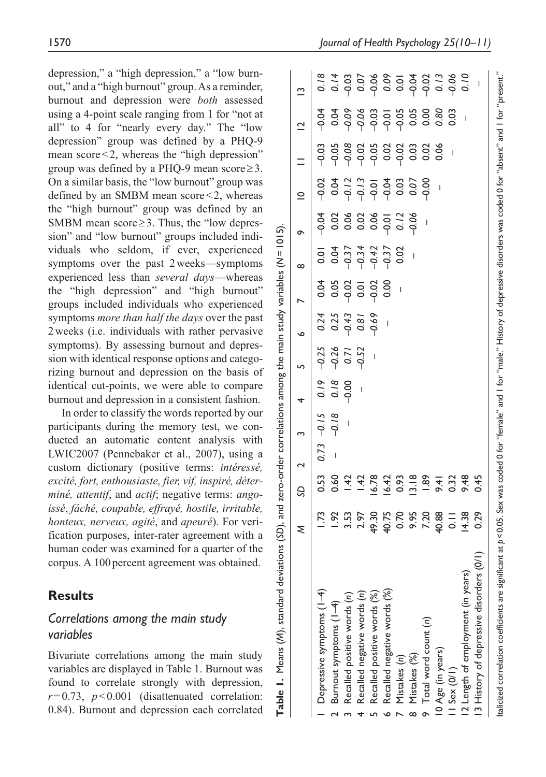depression," a "high depression," a "low burnout," and a "high burnout" group. As a reminder, burnout and depression were *both* assessed using a 4-point scale ranging from 1 for "not at all" to 4 for "nearly every day." The "low depression" group was defined by a PHQ-9 mean score<2, whereas the "high depression" group was defined by a PHQ-9 mean score  $\geq$ 3. On a similar basis, the "low burnout" group was defined by an SMBM mean score<2, whereas the "high burnout" group was defined by an SMBM mean score≥3. Thus, the "low depression" and "low burnout" groups included individuals who seldom, if ever, experienced symptoms over the past 2weeks—symptoms experienced less than *several days*—whereas the "high depression" and "high burnout" groups included individuals who experienced symptoms *more than half the days* over the past 2weeks (i.e. individuals with rather pervasive symptoms). By assessing burnout and depression with identical response options and categorizing burnout and depression on the basis of identical cut-points, we were able to compare burnout and depression in a consistent fashion.

In order to classify the words reported by our participants during the memory test, we conducted an automatic content analysis with LWIC2007 (Pennebaker et al., 2007), using a custom dictionary (positive terms: *intéressé, excité, fort, enthousiaste, fier, vif, inspiré, déterminé, attentif*, and *actif*; negative terms: *angoissé*, *fâché, coupable, effrayé, hostile, irritable, honteux, nerveux, agité*, and *apeuré*). For verification purposes, inter-rater agreement with a human coder was examined for a quarter of the corpus. A 100 percent agreement was obtained.

## **Results**

# *Correlations among the main study variables*

Bivariate correlations among the main study variables are displayed in Table 1. Burnout was found to correlate strongly with depression,  $r=0.73$ ,  $p<0.001$  (disattenuated correlation: 0.84). Burnout and depression each correlated

**Table 1.** Means (

*M*), standard deviations (*SD*), and zero-order correlations among the main study variables ( Table 1. Means (M), standard deviations (SD), and zero-order correlations among the main study variables (N = 1015).

|                                                                                                                                                                                            | ξ                                                        | S                  | 2    |                          |         |                         | $\circ$                   |               | $\infty$                      | σ          | $\subseteq$ |                  | $\overline{C}$ |      |
|--------------------------------------------------------------------------------------------------------------------------------------------------------------------------------------------|----------------------------------------------------------|--------------------|------|--------------------------|---------|-------------------------|---------------------------|---------------|-------------------------------|------------|-------------|------------------|----------------|------|
| Depressive symptoms (1-4)                                                                                                                                                                  | <u>rs</u>                                                | 0.53               | 0.73 | $-0.15$                  | 0.19    | $-0.25$                 |                           |               | $\overline{0}$                | $-0.04$    | $-0.02$     | $-0.03$          | $-0.04$        | 0.18 |
| Burnout symptoms (1-4)                                                                                                                                                                     | $\frac{1}{2}$                                            | $0.42$<br>$- 1.42$ | I    | $-0.18$                  | 0.18    | $-0.26$<br>0.71<br>0.52 | 4<br>0.25<br>0.00<br>0.00 | 0.05<br>0.05  | 0.04                          | 0.02       | 0.04        | $-0.05$          | 0.04           |      |
| Recalled positive words (n)                                                                                                                                                                |                                                          |                    |      | $\overline{\phantom{a}}$ | $-0.00$ |                         |                           |               | $-0.37$<br>$-0.34$<br>$-0.42$ | 888<br>000 | $-0.12$     | $-0.08$          |                |      |
| Recalled negative words (n)                                                                                                                                                                | 3.53<br>2.97                                             |                    |      |                          |         |                         |                           | 0.07          |                               |            | $-0.13$     |                  | $-0.06$        |      |
| Recalled positive words (%)                                                                                                                                                                |                                                          | $6.78$<br>$6.42$   |      |                          |         | I                       | 0.69                      | $-0.02$       |                               |            | $-0.01$     | 02<br>03<br>0.02 |                |      |
| Recalled negative words (%)                                                                                                                                                                |                                                          |                    |      |                          |         |                         |                           | $\frac{8}{2}$ | $-0.37$                       | $-0.01$    | $-0.04$     |                  |                |      |
| Mistakes (n)                                                                                                                                                                               |                                                          | 0.93               |      |                          |         |                         |                           |               | 0.02                          | 0.12       | 0.03        | $-0.02$          |                |      |
| Mistakes (%)                                                                                                                                                                               | $9.30$<br>$9.75$<br>$9.70$<br>$7.30$<br>$9.88$<br>$7.30$ | 3.18               |      |                          |         |                         |                           |               |                               | $-0.06$    |             | 0.03             |                |      |
| 9 Total word count (n)                                                                                                                                                                     |                                                          |                    |      |                          |         |                         |                           |               |                               |            | 8<br>0.0    | 0.02             |                |      |
| 10 Age (in years)                                                                                                                                                                          |                                                          | $\overline{4}$     |      |                          |         |                         |                           |               |                               |            |             | 0.06             | 0.80           |      |
| $11$ Sex $(0/1)$                                                                                                                                                                           | $\overline{0}$ .                                         | 3.32               |      |                          |         |                         |                           |               |                               |            |             |                  | 0.03           |      |
| 12 Length of employment (in years)                                                                                                                                                         | 14.38                                                    |                    |      |                          |         |                         |                           |               |                               |            |             |                  |                | 0.10 |
| $\left(\frac{1}{2}\right)$<br>13 History of depressive disorders                                                                                                                           | 0.29                                                     | 3.45               |      |                          |         |                         |                           |               |                               |            |             |                  |                |      |
| talicized correlation coefficients are significant at p<0.05. Sex was coded 0 for "female" and I for "male." History of depressive disorders was coded 0 for "absent" and I for "present." |                                                          |                    |      |                          |         |                         |                           |               |                               |            |             |                  |                |      |

Italicized correlation coefficients are significant at *p*<0.05. Sex was coded 0 for "female" and 1 for "male." History of depressive disorders was coded 0 for "absent" and 1 for "present."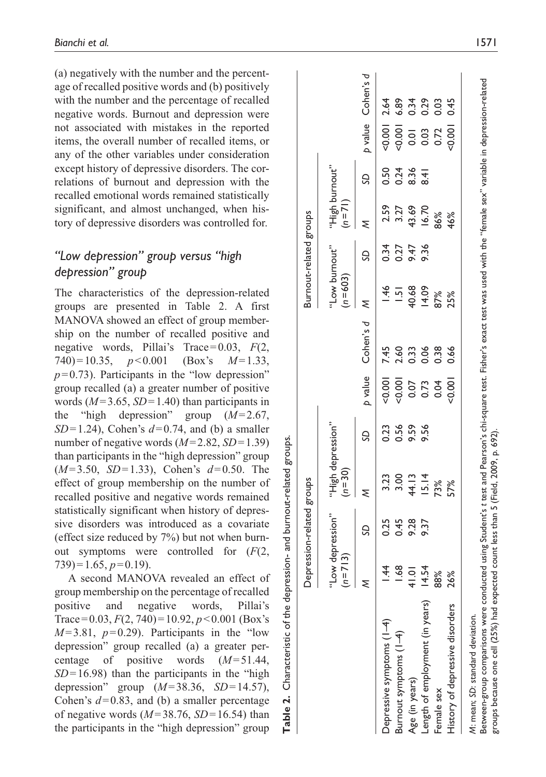(a) negatively with the number and the percent age of recalled positive words and (b) positively with the number and the percentage of recalled negative words. Burnout and depression were not associated with mistakes in the reported items, the overall number of recalled items, or any of the other variables under consideration except history of depressive disorders. The cor relations of burnout and depression with the recalled emotional words remained statistically significant, and almost unchanged, when his tory of depressive disorders was controlled for.

# *"Low depression" group versus "high depression" group*

The characteristics of the depression-related groups are presented in Table 2. A first MANOVA showed an effect of group member ship on the number of recalled positive and negative words, Pillai's Trace =0.03, *F*(2,  $740) = 10.35,$ *p* <0.001 (Box's  $M = 1.33$ ,  $p=0.73$ ). Participants in the "low depression" group recalled (a) a greater number of positive words  $(M=3.65, SD=1.40)$  than participants in the "high depression" group  $(M=2.67,$  $SD = 1.24$ ), Cohen's  $d = 0.74$ , and (b) a smaller number of negative words  $(M=2.82, SD=1.39)$ than participants in the "high depression" group (*M*=3.50, *SD*=1.33), Cohen's *d*=0.50. The effect of group membership on the number of recalled positive and negative words remained statistically significant when history of depres sive disorders was introduced as a covariate (effect size reduced by 7%) but not when burn out symptoms were controlled for (*F*(2,  $(739)=1.65, p=0.19$ .

A second MANOVA revealed an effect of group membership on the percentage of recalled positive and negative words, Pillai's Trace = 0.03,  $F(2, 740) = 10.92$ ,  $p < 0.001$  (Box's  $M=3.81$ ,  $p=0.29$ ). Participants in the "low depression" group recalled (a) a greater per centage of positive words  $(M=51.44,$  $SD = 16.98$ ) than the participants in the "high depression" group (*M* =38.36, *SD* =14.57), Cohen's  $d=0.83$ , and (b) a smaller percentage of negative words  $(M=38.76, SD=16.54)$  than the participants in the "high depression" group

| ֠           |
|-------------|
| ֒           |
| ۱<br>i      |
| i<br>ı      |
|             |
| l           |
|             |
| I<br>l      |
| l<br>l<br>j |
| ļ           |
| J           |
| ֠<br>l      |
| l<br>l      |
| I           |
|             |
|             |

|                                  | ≏                       | epression-related groups |                                       |                      |         |           |                                                  | Burnout-related groups       |                                       |                            |         |                                 |
|----------------------------------|-------------------------|--------------------------|---------------------------------------|----------------------|---------|-----------|--------------------------------------------------|------------------------------|---------------------------------------|----------------------------|---------|---------------------------------|
|                                  | $n = 713$<br>S          | "Low depression"         | "High depression"<br>(n = 30)         |                      |         |           | "Low burnout"<br>$(n=603)$                       |                              | "High burnout"<br>$(n=71)$            |                            |         |                                 |
|                                  |                         | SD                       |                                       | g                    | p value | Cohen's d |                                                  | SD                           |                                       | g                          | p value | Cohen's d                       |
| Depressive symptoms (1-4)        | 4.                      |                          |                                       |                      |         |           |                                                  |                              |                                       |                            |         |                                 |
| Burnout symptoms (1-4)           | 89.                     | 0.25<br>0.45<br>9.37     | 3.23<br>3.00<br>44.14<br>15.1%<br>57% | 0.35<br>0.55<br>9.56 |         |           | $146$<br>$-96$<br>$-96$<br>$+1$<br>$-96$<br>$-1$ | 0.34<br>0.27<br>9.36<br>9.36 | 2.59<br>3.27<br>43.69<br>16.70<br>46% | 50<br>0.24<br>0.56<br>0.50 |         | 2<br>4 8 7 8 9 4<br>4 9 7 8 9 9 |
| Age (in years)                   | $rac{1}{2}$ $rac{1}{4}$ |                          |                                       |                      |         |           |                                                  |                              |                                       |                            |         |                                 |
| Length of employment (in years)  | $\overline{4}$          |                          |                                       |                      |         |           |                                                  |                              |                                       |                            |         |                                 |
| Female sex                       | 88%                     |                          |                                       |                      |         |           | 37%<br>25%                                       |                              |                                       |                            |         |                                 |
| History of depressive disorders  | 26%                     |                          |                                       |                      |         |           |                                                  |                              |                                       |                            |         |                                 |
| M: mean; SD: standard deviation. |                         |                          |                                       |                      |         |           |                                                  |                              |                                       |                            |         |                                 |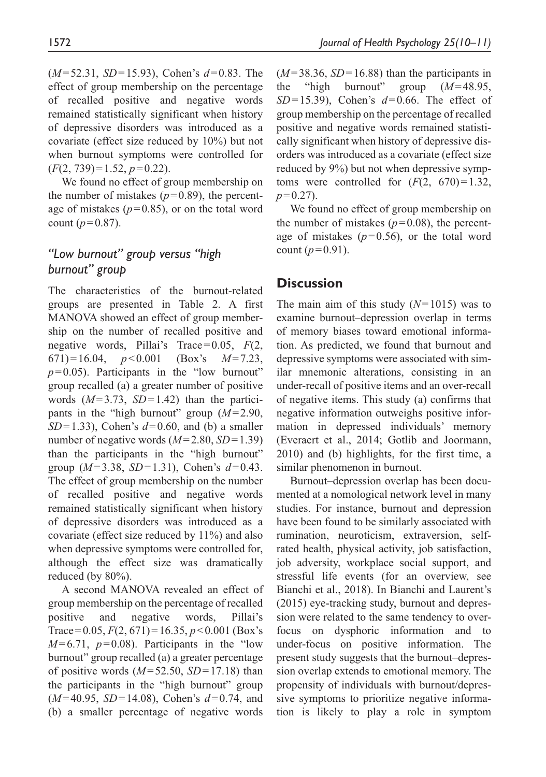(*M*=52.31, *SD*=15.93), Cohen's *d*=0.83. The effect of group membership on the percentage of recalled positive and negative words remained statistically significant when history of depressive disorders was introduced as a covariate (effect size reduced by 10%) but not when burnout symptoms were controlled for (*F*(2, 739)=1.52, *p*=0.22).

We found no effect of group membership on the number of mistakes  $(p=0.89)$ , the percentage of mistakes  $(p=0.85)$ , or on the total word count ( $p=0.87$ ).

# *"Low burnout" group versus "high burnout" group*

The characteristics of the burnout-related groups are presented in Table 2. A first MANOVA showed an effect of group membership on the number of recalled positive and negative words, Pillai's Trace=0.05, *F*(2, 671)=16.04, *p*<0.001 (Box's *M*=7.23,  $p=0.05$ ). Participants in the "low burnout" group recalled (a) a greater number of positive words  $(M=3.73, SD=1.42)$  than the participants in the "high burnout" group (*M*=2.90, *SD*=1.33), Cohen's *d*=0.60, and (b) a smaller number of negative words (*M*=2.80, *SD*=1.39) than the participants in the "high burnout" group (*M*=3.38, *SD*=1.31), Cohen's *d*=0.43. The effect of group membership on the number of recalled positive and negative words remained statistically significant when history of depressive disorders was introduced as a covariate (effect size reduced by 11%) and also when depressive symptoms were controlled for, although the effect size was dramatically reduced (by 80%).

A second MANOVA revealed an effect of group membership on the percentage of recalled positive and negative words, Pillai's Trace=0.05,  $F(2, 671) = 16.35, p < 0.001$  (Box's  $M=6.71$ ,  $p=0.08$ ). Participants in the "low burnout" group recalled (a) a greater percentage of positive words  $(M=52.50, SD=17.18)$  than the participants in the "high burnout" group (*M*=40.95, *SD*=14.08), Cohen's *d*=0.74, and (b) a smaller percentage of negative words

 $(M=38.36, SD=16.88)$  than the participants in the "high burnout" group (*M*=48.95, *SD*=15.39), Cohen's *d*=0.66. The effect of group membership on the percentage of recalled positive and negative words remained statistically significant when history of depressive disorders was introduced as a covariate (effect size reduced by 9%) but not when depressive symptoms were controlled for  $(F(2, 670)=1.32)$ , *p*=0.27).

We found no effect of group membership on the number of mistakes  $(p=0.08)$ , the percentage of mistakes  $(p=0.56)$ , or the total word count  $(p=0.91)$ .

# **Discussion**

The main aim of this study (*N*=1015) was to examine burnout–depression overlap in terms of memory biases toward emotional information. As predicted, we found that burnout and depressive symptoms were associated with similar mnemonic alterations, consisting in an under-recall of positive items and an over-recall of negative items. This study (a) confirms that negative information outweighs positive information in depressed individuals' memory (Everaert et al., 2014; Gotlib and Joormann, 2010) and (b) highlights, for the first time, a similar phenomenon in burnout.

Burnout–depression overlap has been documented at a nomological network level in many studies. For instance, burnout and depression have been found to be similarly associated with rumination, neuroticism, extraversion, selfrated health, physical activity, job satisfaction, job adversity, workplace social support, and stressful life events (for an overview, see Bianchi et al., 2018). In Bianchi and Laurent's (2015) eye-tracking study, burnout and depression were related to the same tendency to overfocus on dysphoric information and to under-focus on positive information. The present study suggests that the burnout–depression overlap extends to emotional memory. The propensity of individuals with burnout/depressive symptoms to prioritize negative information is likely to play a role in symptom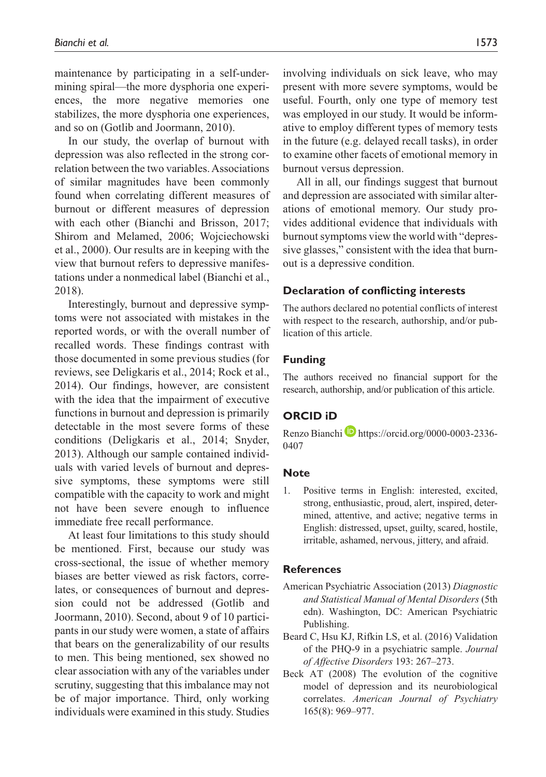maintenance by participating in a self-undermining spiral—the more dysphoria one experiences, the more negative memories one stabilizes, the more dysphoria one experiences, and so on (Gotlib and Joormann, 2010).

In our study, the overlap of burnout with depression was also reflected in the strong correlation between the two variables. Associations of similar magnitudes have been commonly found when correlating different measures of burnout or different measures of depression with each other (Bianchi and Brisson, 2017; Shirom and Melamed, 2006; Wojciechowski et al., 2000). Our results are in keeping with the view that burnout refers to depressive manifestations under a nonmedical label (Bianchi et al., 2018).

Interestingly, burnout and depressive symptoms were not associated with mistakes in the reported words, or with the overall number of recalled words. These findings contrast with those documented in some previous studies (for reviews, see Deligkaris et al., 2014; Rock et al., 2014). Our findings, however, are consistent with the idea that the impairment of executive functions in burnout and depression is primarily detectable in the most severe forms of these conditions (Deligkaris et al., 2014; Snyder, 2013). Although our sample contained individuals with varied levels of burnout and depressive symptoms, these symptoms were still compatible with the capacity to work and might not have been severe enough to influence immediate free recall performance.

At least four limitations to this study should be mentioned. First, because our study was cross-sectional, the issue of whether memory biases are better viewed as risk factors, correlates, or consequences of burnout and depression could not be addressed (Gotlib and Joormann, 2010). Second, about 9 of 10 participants in our study were women, a state of affairs that bears on the generalizability of our results to men. This being mentioned, sex showed no clear association with any of the variables under scrutiny, suggesting that this imbalance may not be of major importance. Third, only working individuals were examined in this study. Studies

involving individuals on sick leave, who may present with more severe symptoms, would be useful. Fourth, only one type of memory test was employed in our study. It would be informative to employ different types of memory tests in the future (e.g. delayed recall tasks), in order to examine other facets of emotional memory in burnout versus depression.

All in all, our findings suggest that burnout and depression are associated with similar alterations of emotional memory. Our study provides additional evidence that individuals with burnout symptoms view the world with "depressive glasses," consistent with the idea that burnout is a depressive condition.

#### **Declaration of conflicting interests**

The authors declared no potential conflicts of interest with respect to the research, authorship, and/or publication of this article.

#### **Funding**

The authors received no financial support for the research, authorship, and/or publication of this article.

#### **ORCID iD**

Renzo Bianchi <https://orcid.org/0000-0003-2336-> 0407

#### **Note**

1. Positive terms in English: interested, excited, strong, enthusiastic, proud, alert, inspired, determined, attentive, and active; negative terms in English: distressed, upset, guilty, scared, hostile, irritable, ashamed, nervous, jittery, and afraid.

#### **References**

- American Psychiatric Association (2013) *Diagnostic and Statistical Manual of Mental Disorders* (5th edn). Washington, DC: American Psychiatric Publishing.
- Beard C, Hsu KJ, Rifkin LS, et al. (2016) Validation of the PHQ-9 in a psychiatric sample. *Journal of Affective Disorders* 193: 267–273.
- Beck AT (2008) The evolution of the cognitive model of depression and its neurobiological correlates. *American Journal of Psychiatry* 165(8): 969–977.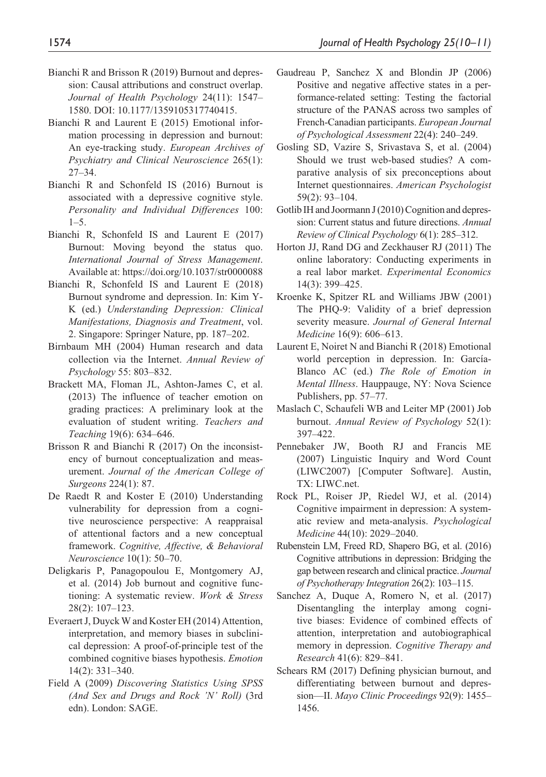- Bianchi R and Brisson R (2019) Burnout and depression: Causal attributions and construct overlap. *Journal of Health Psychology* 24(11): 1547– 1580. DOI: 10.1177/1359105317740415.
- Bianchi R and Laurent E (2015) Emotional information processing in depression and burnout: An eye-tracking study. *European Archives of Psychiatry and Clinical Neuroscience* 265(1): 27–34.
- Bianchi R and Schonfeld IS (2016) Burnout is associated with a depressive cognitive style. *Personality and Individual Differences* 100: 1–5.
- Bianchi R, Schonfeld IS and Laurent E (2017) Burnout: Moving beyond the status quo. *International Journal of Stress Management*. Available at:<https://doi.org/10.1037/str0000088>
- Bianchi R, Schonfeld IS and Laurent E (2018) Burnout syndrome and depression. In: Kim Y-K (ed.) *Understanding Depression: Clinical Manifestations, Diagnosis and Treatment*, vol. 2. Singapore: Springer Nature, pp. 187–202.
- Birnbaum MH (2004) Human research and data collection via the Internet. *Annual Review of Psychology* 55: 803–832.
- Brackett MA, Floman JL, Ashton-James C, et al. (2013) The influence of teacher emotion on grading practices: A preliminary look at the evaluation of student writing. *Teachers and Teaching* 19(6): 634–646.
- Brisson R and Bianchi R (2017) On the inconsistency of burnout conceptualization and measurement. *Journal of the American College of Surgeons* 224(1): 87.
- De Raedt R and Koster E (2010) Understanding vulnerability for depression from a cognitive neuroscience perspective: A reappraisal of attentional factors and a new conceptual framework. *Cognitive, Affective, & Behavioral Neuroscience* 10(1): 50–70.
- Deligkaris P, Panagopoulou E, Montgomery AJ, et al. (2014) Job burnout and cognitive functioning: A systematic review. *Work & Stress* 28(2): 107–123.
- Everaert J, Duyck W and Koster EH (2014) Attention, interpretation, and memory biases in subclinical depression: A proof-of-principle test of the combined cognitive biases hypothesis. *Emotion* 14(2): 331–340.
- Field A (2009) *Discovering Statistics Using SPSS (And Sex and Drugs and Rock 'N' Roll)* (3rd edn). London: SAGE.
- Gaudreau P, Sanchez X and Blondin JP (2006) Positive and negative affective states in a performance-related setting: Testing the factorial structure of the PANAS across two samples of French-Canadian participants. *European Journal of Psychological Assessment* 22(4): 240–249.
- Gosling SD, Vazire S, Srivastava S, et al. (2004) Should we trust web-based studies? A comparative analysis of six preconceptions about Internet questionnaires. *American Psychologist* 59(2): 93–104.
- Gotlib IH and Joormann J (2010) Cognition and depression: Current status and future directions. *Annual Review of Clinical Psychology* 6(1): 285–312.
- Horton JJ, Rand DG and Zeckhauser RJ (2011) The online laboratory: Conducting experiments in a real labor market. *Experimental Economics* 14(3): 399–425.
- Kroenke K, Spitzer RL and Williams JBW (2001) The PHQ-9: Validity of a brief depression severity measure. *Journal of General Internal Medicine* 16(9): 606–613.
- Laurent E, Noiret N and Bianchi R (2018) Emotional world perception in depression. In: García-Blanco AC (ed.) *The Role of Emotion in Mental Illness*. Hauppauge, NY: Nova Science Publishers, pp. 57–77.
- Maslach C, Schaufeli WB and Leiter MP (2001) Job burnout. *Annual Review of Psychology* 52(1): 397–422.
- Pennebaker JW, Booth RJ and Francis ME (2007) Linguistic Inquiry and Word Count (LIWC2007) [Computer Software]. Austin, TX: LIWC.net.
- Rock PL, Roiser JP, Riedel WJ, et al. (2014) Cognitive impairment in depression: A systematic review and meta-analysis. *Psychological Medicine* 44(10): 2029–2040.
- Rubenstein LM, Freed RD, Shapero BG, et al. (2016) Cognitive attributions in depression: Bridging the gap between research and clinical practice. *Journal of Psychotherapy Integration* 26(2): 103–115.
- Sanchez A, Duque A, Romero N, et al. (2017) Disentangling the interplay among cognitive biases: Evidence of combined effects of attention, interpretation and autobiographical memory in depression. *Cognitive Therapy and Research* 41(6): 829–841.
- Schears RM (2017) Defining physician burnout, and differentiating between burnout and depression—II. *Mayo Clinic Proceedings* 92(9): 1455– 1456.